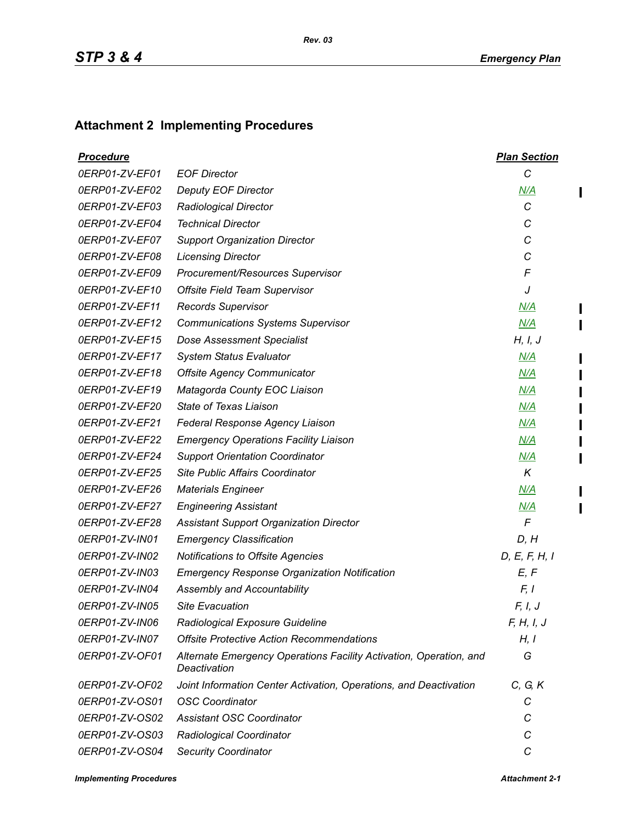## **Attachment 2 Implementing Procedures**

| <u>Procedure</u> |                                                                                    | <b>Plan Section</b> |
|------------------|------------------------------------------------------------------------------------|---------------------|
| 0ERP01-ZV-EF01   | <b>EOF Director</b>                                                                | C                   |
| 0ERP01-ZV-EF02   | <b>Deputy EOF Director</b>                                                         | N/A                 |
| 0ERP01-ZV-EF03   | <b>Radiological Director</b>                                                       | C                   |
| 0ERP01-ZV-EF04   | <b>Technical Director</b>                                                          | C                   |
| 0ERP01-ZV-EF07   | <b>Support Organization Director</b>                                               | С                   |
| 0ERP01-ZV-EF08   | <b>Licensing Director</b>                                                          | C                   |
| 0ERP01-ZV-EF09   | Procurement/Resources Supervisor                                                   | F                   |
| 0ERP01-ZV-EF10   | <b>Offsite Field Team Supervisor</b>                                               | J                   |
| 0ERP01-ZV-EF11   | <b>Records Supervisor</b>                                                          | N/A                 |
| 0ERP01-ZV-EF12   | <b>Communications Systems Supervisor</b>                                           | N/A                 |
| 0ERP01-ZV-EF15   | <b>Dose Assessment Specialist</b>                                                  | H, I, J             |
| 0ERP01-ZV-EF17   | <b>System Status Evaluator</b>                                                     | M/A                 |
| 0ERP01-ZV-EF18   | <b>Offsite Agency Communicator</b>                                                 | N/A                 |
| 0ERP01-ZV-EF19   | Matagorda County EOC Liaison                                                       | N/A                 |
| 0ERP01-ZV-EF20   | State of Texas Liaison                                                             | M/A                 |
| 0ERP01-ZV-EF21   | Federal Response Agency Liaison                                                    | N/A                 |
| 0ERP01-ZV-EF22   | <b>Emergency Operations Facility Liaison</b>                                       | N/A                 |
| 0ERP01-ZV-EF24   | <b>Support Orientation Coordinator</b>                                             | M/A                 |
| 0ERP01-ZV-EF25   | Site Public Affairs Coordinator                                                    | K                   |
| 0ERP01-ZV-EF26   | <b>Materials Engineer</b>                                                          | N/A                 |
| 0ERP01-ZV-EF27   | <b>Engineering Assistant</b>                                                       | M/A                 |
| 0ERP01-ZV-EF28   | Assistant Support Organization Director                                            | $\mathsf{F}$        |
| 0ERP01-ZV-IN01   | <b>Emergency Classification</b>                                                    | D, H                |
| 0ERP01-ZV-IN02   | Notifications to Offsite Agencies                                                  | D, E, F, H, I       |
| 0ERP01-ZV-IN03   | <b>Emergency Response Organization Notification</b>                                | E, F                |
| 0ERP01-ZV-IN04   | Assembly and Accountability                                                        | F, I                |
| 0ERP01-ZV-IN05   | <b>Site Evacuation</b>                                                             | F, I, J             |
| 0ERP01-ZV-IN06   | Radiological Exposure Guideline                                                    | F, H, I, J          |
| 0ERP01-ZV-IN07   | <b>Offsite Protective Action Recommendations</b>                                   | H, I                |
| 0ERP01-ZV-OF01   | Alternate Emergency Operations Facility Activation, Operation, and<br>Deactivation | G                   |
| 0ERP01-ZV-OF02   | Joint Information Center Activation, Operations, and Deactivation                  | C, G, K             |
| 0ERP01-ZV-OS01   | <b>OSC Coordinator</b>                                                             | С                   |
| 0ERP01-ZV-OS02   | <b>Assistant OSC Coordinator</b>                                                   | C                   |
| 0ERP01-ZV-OS03   | Radiological Coordinator                                                           | C                   |
| 0ERP01-ZV-OS04   | <b>Security Coordinator</b>                                                        | C                   |